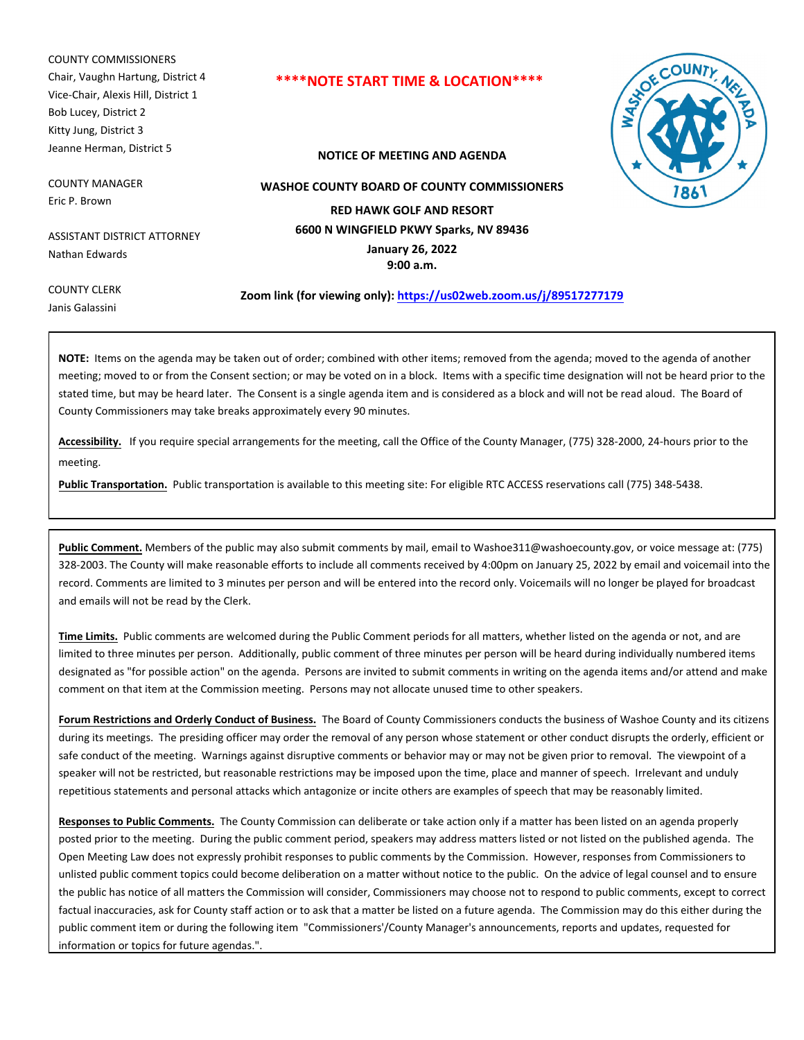COUNTY COMMISSIONERS Chair, Vaughn Hartung, District 4 Vice-Chair, Alexis Hill, District 1 Bob Lucey, District 2 Kitty Jung, District 3 Jeanne Herman, District 5

COUNTY MANAGER Eric P. Brown

ASSISTANT DISTRICT ATTORNEY Nathan Edwards

# **\*\*\*\*NOTE START TIME & LOCATION\*\*\*\***

**NOTICE OF MEETING AND AGENDA**



**WASHOE COUNTY BOARD OF COUNTY COMMISSIONERS**

**RED HAWK GOLF AND RESORT 6600 N WINGFIELD PKWY Sparks, NV 89436**

> **January 26, 2022 9:00 a.m.**

COUNTY CLERK Janis Galassini

**Zoom link (for viewing only): https://us02web.zoom.us/j/89517277179**

**NOTE:** Items on the agenda may be taken out of order; combined with other items; removed from the agenda; moved to the agenda of another meeting; moved to or from the Consent section; or may be voted on in a block. Items with a specific time designation will not be heard prior to the stated time, but may be heard later. The Consent is a single agenda item and is considered as a block and will not be read aloud. The Board of County Commissioners may take breaks approximately every 90 minutes.

**Accessibility.** If you require special arrangements for the meeting, call the Office of the County Manager, (775) 328-2000, 24-hours prior to the meeting.

**Public Transportation.** Public transportation is available to this meeting site: For eligible RTC ACCESS reservations call (775) 348-5438.

**Public Comment.** Members of the public may also submit comments by mail, email to Washoe311@washoecounty.gov, or voice message at: (775) 328-2003. The County will make reasonable efforts to include all comments received by 4:00pm on January 25, 2022 by email and voicemail into the record. Comments are limited to 3 minutes per person and will be entered into the record only. Voicemails will no longer be played for broadcast and emails will not be read by the Clerk.

**Time Limits.** Public comments are welcomed during the Public Comment periods for all matters, whether listed on the agenda or not, and are limited to three minutes per person. Additionally, public comment of three minutes per person will be heard during individually numbered items designated as "for possible action" on the agenda. Persons are invited to submit comments in writing on the agenda items and/or attend and make comment on that item at the Commission meeting. Persons may not allocate unused time to other speakers.

**Forum Restrictions and Orderly Conduct of Business.** The Board of County Commissioners conducts the business of Washoe County and its citizens during its meetings. The presiding officer may order the removal of any person whose statement or other conduct disrupts the orderly, efficient or safe conduct of the meeting. Warnings against disruptive comments or behavior may or may not be given prior to removal. The viewpoint of a speaker will not be restricted, but reasonable restrictions may be imposed upon the time, place and manner of speech. Irrelevant and unduly repetitious statements and personal attacks which antagonize or incite others are examples of speech that may be reasonably limited.

**Responses to Public Comments.** The County Commission can deliberate or take action only if a matter has been listed on an agenda properly posted prior to the meeting. During the public comment period, speakers may address matters listed or not listed on the published agenda. The Open Meeting Law does not expressly prohibit responses to public comments by the Commission. However, responses from Commissioners to unlisted public comment topics could become deliberation on a matter without notice to the public. On the advice of legal counsel and to ensure the public has notice of all matters the Commission will consider, Commissioners may choose not to respond to public comments, except to correct factual inaccuracies, ask for County staff action or to ask that a matter be listed on a future agenda. The Commission may do this either during the public comment item or during the following item "Commissioners'/County Manager's announcements, reports and updates, requested for information or topics for future agendas.".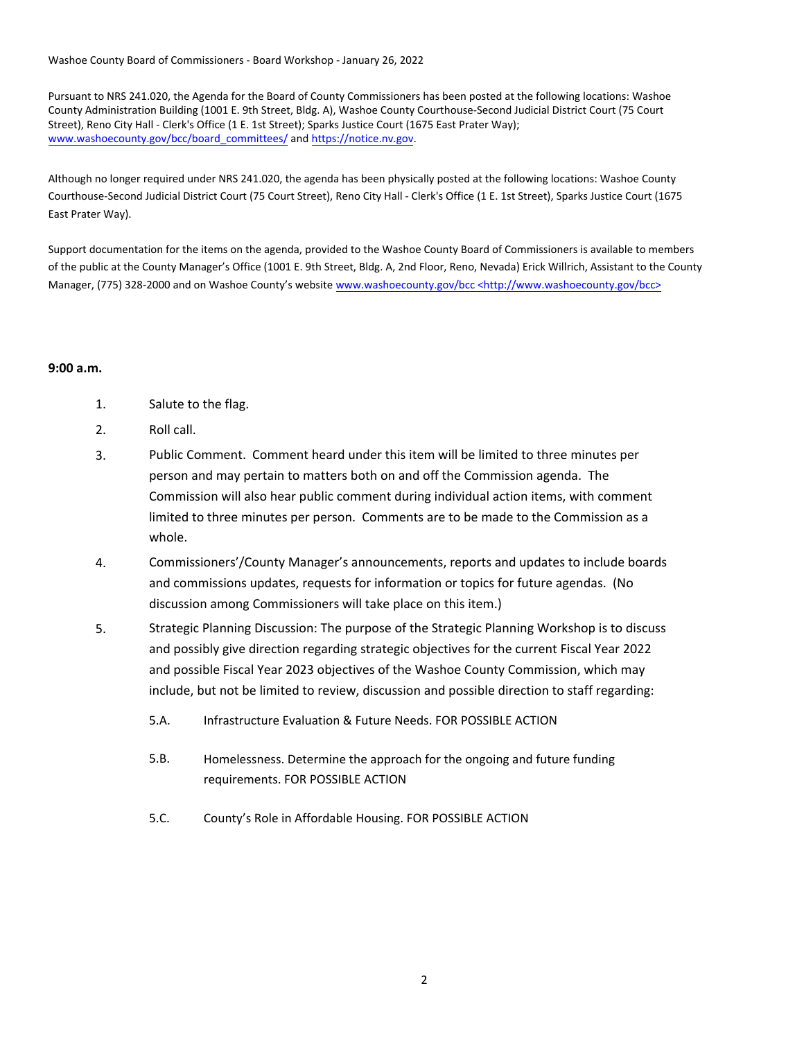Washoe County Board of Commissioners - Board Workshop - January 26, 2022

Pursuant to NRS 241.020, the Agenda for the Board of County Commissioners has been posted at the following locations: Washoe County Administration Building (1001 E. 9th Street, Bldg. A), Washoe County Courthouse-Second Judicial District Court (75 Court Street), Reno City Hall - Clerk's Office (1 E. 1st Street); Sparks Justice Court (1675 East Prater Way); www.washoecounty.gov/bcc/board\_committees/ and https://notice.nv.gov.

Although no longer required under NRS 241.020, the agenda has been physically posted at the following locations: Washoe County Courthouse-Second Judicial District Court (75 Court Street), Reno City Hall - Clerk's Office (1 E. 1st Street), Sparks Justice Court (1675 East Prater Way).

Support documentation for the items on the agenda, provided to the Washoe County Board of Commissioners is available to members of the public at the County Manager's Office (1001 E. 9th Street, Bldg. A, 2nd Floor, Reno, Nevada) Erick Willrich, Assistant to the County Manager, (775) 328-2000 and on Washoe County's website www.washoecounty.gov/bcc <http://www.washoecounty.gov/bcc>

# **9:00 a.m.**

- 1. Salute to the flag.
- 2. Roll call.
- 3. Public Comment. Comment heard under this item will be limited to three minutes per person and may pertain to matters both on and off the Commission agenda. The Commission will also hear public comment during individual action items, with comment limited to three minutes per person. Comments are to be made to the Commission as a whole.
- 4. Commissioners'/County Manager's announcements, reports and updates to include boards and commissions updates, requests for information or topics for future agendas. (No discussion among Commissioners will take place on this item.)
- 5. Strategic Planning Discussion: The purpose of the Strategic Planning Workshop is to discuss and possibly give direction regarding strategic objectives for the current Fiscal Year 2022 and possible Fiscal Year 2023 objectives of the Washoe County Commission, which may include, but not be limited to review, discussion and possible direction to staff regarding:
	- 5.A. Infrastructure Evaluation & Future Needs. FOR POSSIBLE ACTION
	- Homelessness. Determine the approach for the ongoing and future funding requirements. FOR POSSIBLE ACTION 5.B.
	- 5.C. County's Role in Affordable Housing. FOR POSSIBLE ACTION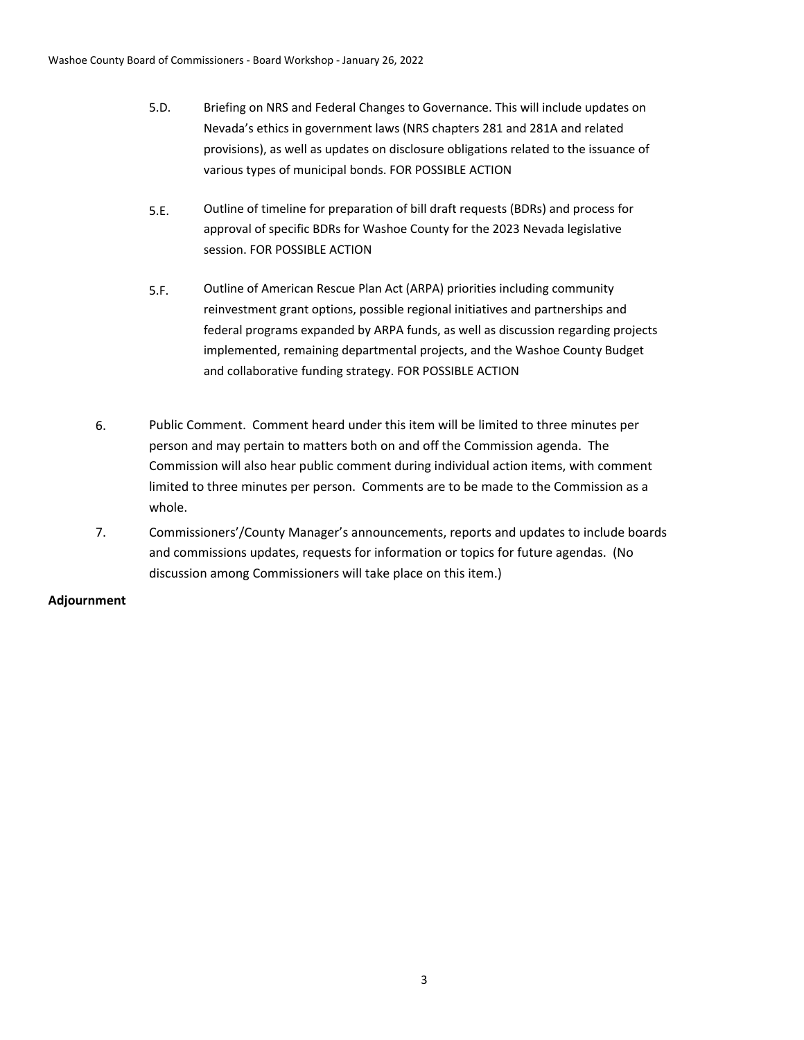- 5.D. Briefing on NRS and Federal Changes to Governance. This will include updates on Nevada's ethics in government laws (NRS chapters 281 and 281A and related provisions), as well as updates on disclosure obligations related to the issuance of various types of municipal bonds. FOR POSSIBLE ACTION
- 5.E. Outline of timeline for preparation of bill draft requests (BDRs) and process for approval of specific BDRs for Washoe County for the 2023 Nevada legislative session. FOR POSSIBLE ACTION
- Outline of American Rescue Plan Act (ARPA) priorities including community reinvestment grant options, possible regional initiatives and partnerships and federal programs expanded by ARPA funds, as well as discussion regarding projects implemented, remaining departmental projects, and the Washoe County Budget and collaborative funding strategy. FOR POSSIBLE ACTION 5.F.
- 6. Public Comment. Comment heard under this item will be limited to three minutes per person and may pertain to matters both on and off the Commission agenda. The Commission will also hear public comment during individual action items, with comment limited to three minutes per person. Comments are to be made to the Commission as a whole.
- 7. Commissioners'/County Manager's announcements, reports and updates to include boards and commissions updates, requests for information or topics for future agendas. (No discussion among Commissioners will take place on this item.)

# **Adjournment**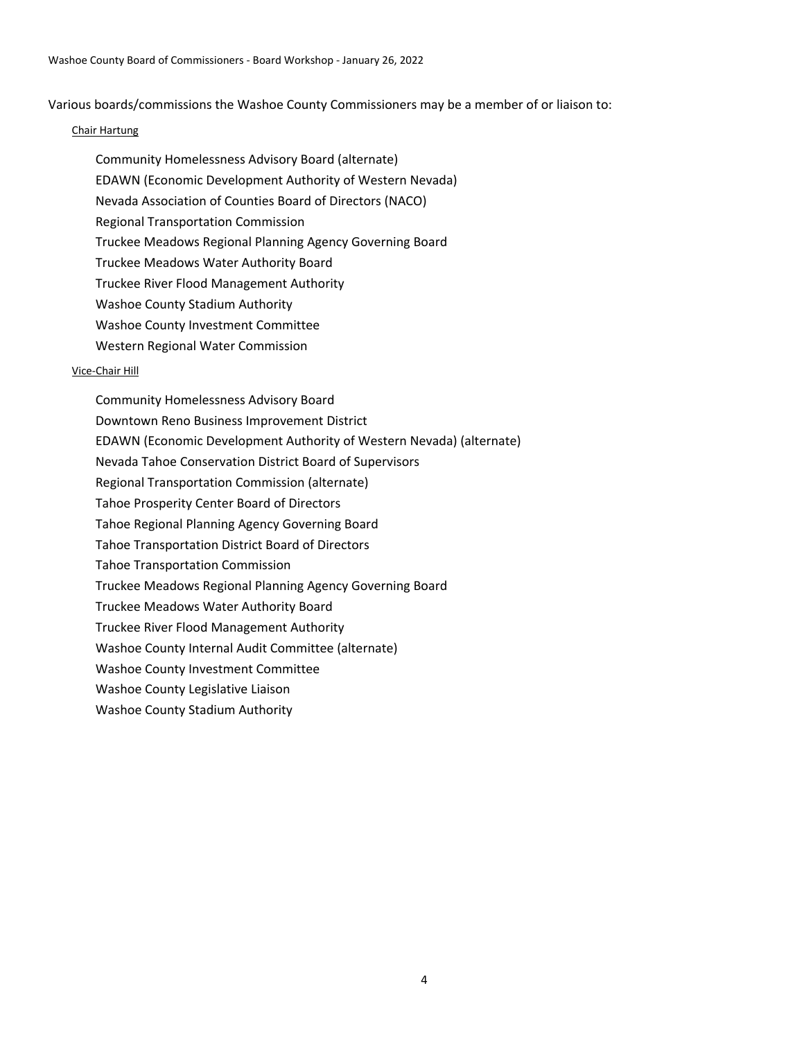Various boards/commissions the Washoe County Commissioners may be a member of or liaison to:

## Chair Hartung

Community Homelessness Advisory Board (alternate) EDAWN (Economic Development Authority of Western Nevada) Nevada Association of Counties Board of Directors (NACO) Regional Transportation Commission Truckee Meadows Regional Planning Agency Governing Board Truckee Meadows Water Authority Board Truckee River Flood Management Authority Washoe County Stadium Authority Washoe County Investment Committee Western Regional Water Commission

#### Vice-Chair Hill

Community Homelessness Advisory Board Downtown Reno Business Improvement District EDAWN (Economic Development Authority of Western Nevada) (alternate) Nevada Tahoe Conservation District Board of Supervisors Regional Transportation Commission (alternate) Tahoe Prosperity Center Board of Directors Tahoe Regional Planning Agency Governing Board Tahoe Transportation District Board of Directors Tahoe Transportation Commission Truckee Meadows Regional Planning Agency Governing Board Truckee Meadows Water Authority Board Truckee River Flood Management Authority Washoe County Internal Audit Committee (alternate) Washoe County Investment Committee Washoe County Legislative Liaison Washoe County Stadium Authority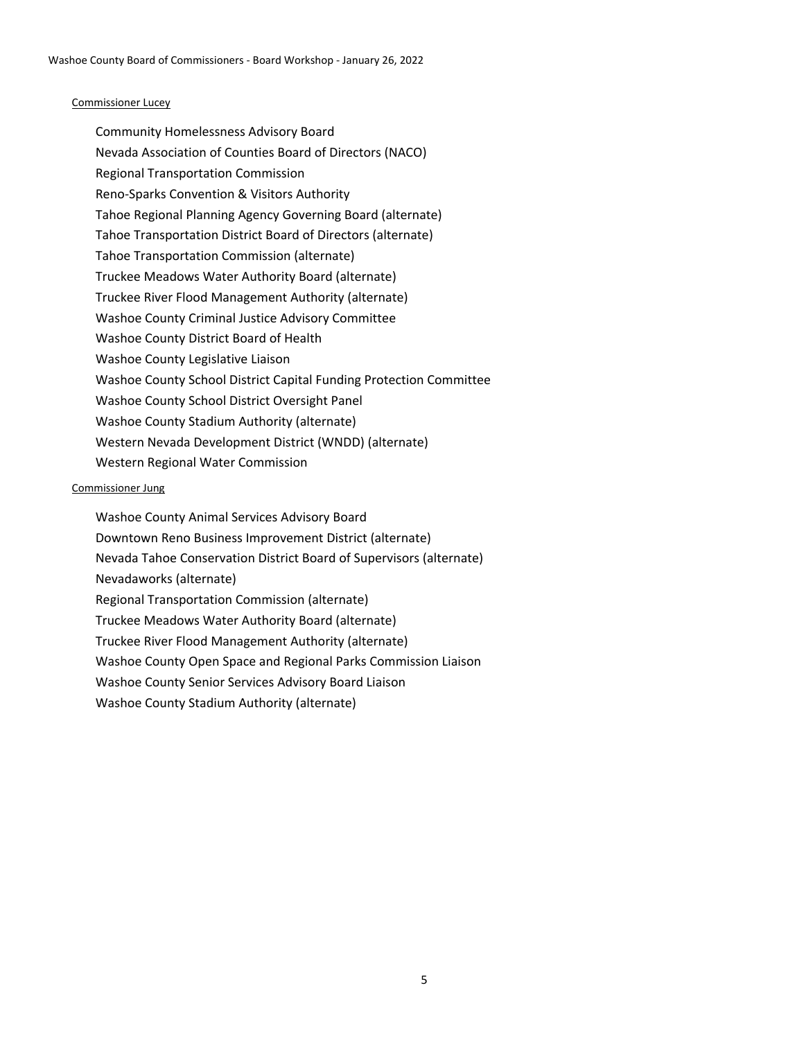## Commissioner Lucey

Community Homelessness Advisory Board Nevada Association of Counties Board of Directors (NACO) Regional Transportation Commission Reno-Sparks Convention & Visitors Authority Tahoe Regional Planning Agency Governing Board (alternate) Tahoe Transportation District Board of Directors (alternate) Tahoe Transportation Commission (alternate) Truckee Meadows Water Authority Board (alternate) Truckee River Flood Management Authority (alternate) Washoe County Criminal Justice Advisory Committee Washoe County District Board of Health Washoe County Legislative Liaison Washoe County School District Capital Funding Protection Committee Washoe County School District Oversight Panel Washoe County Stadium Authority (alternate) Western Nevada Development District (WNDD) (alternate) Western Regional Water Commission

#### Commissioner Jung

Washoe County Animal Services Advisory Board Downtown Reno Business Improvement District (alternate) Nevada Tahoe Conservation District Board of Supervisors (alternate) Nevadaworks (alternate) Regional Transportation Commission (alternate) Truckee Meadows Water Authority Board (alternate) Truckee River Flood Management Authority (alternate) Washoe County Open Space and Regional Parks Commission Liaison Washoe County Senior Services Advisory Board Liaison Washoe County Stadium Authority (alternate)